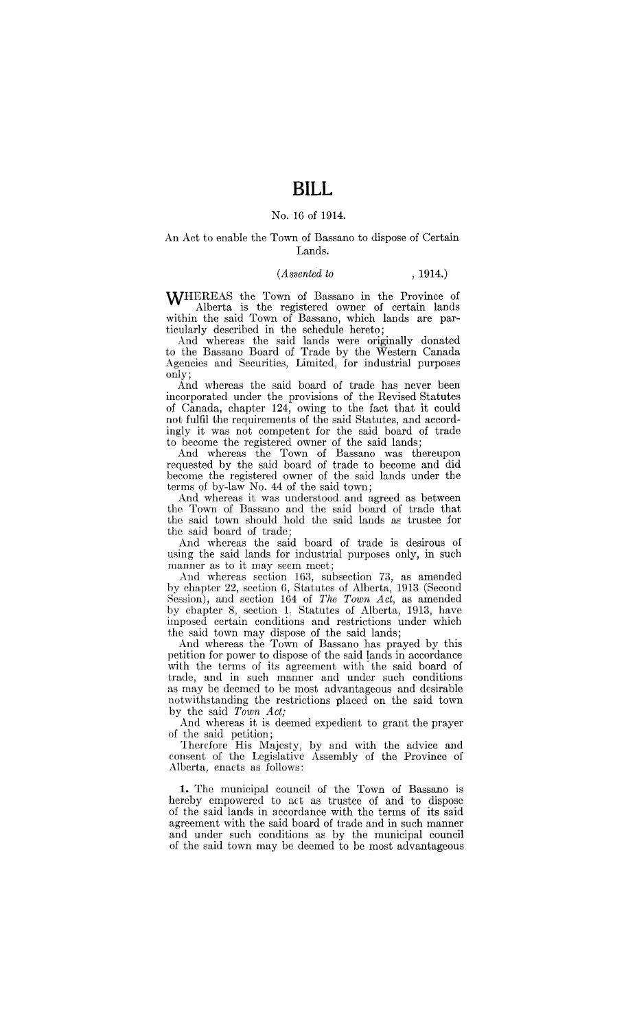#### No. 16 of 1914.

#### An Act to enable the Town of Bassano to dispose of Certain Lands.

#### *(Assented to* , 1914.)

WHEREAS the Town of Bassano in the Province of Alberta is the registered owner of certain lands

within the said Town of Bassano, which lands are particularly described in the schedule hereto; And whereas the said lands were originally donated to the Bassano Board of Trade by the Western Canada

Agencies and Securities, Limited, for industrial purposes only;

And whereas the said board of trade has never been incorporated under the provisions of the Revised Statutes of Canada, chapter 124, owing to the fact that it could not fulfil the requirements of the said Statutes, and accordingly it was not competent for the said board of trade to become the registered owner of the said lands;

And whereas the Town of Bassano was thereupon requested by the said board of trade to become and did become the registered owner of the said lands under the terms of by-law No. 44 of the said town;

And whereas it was understood. and agreed as between the Town of Bassano and the said board of trade that the said town should hold the said lands as trustee for the said board of trade;

And whereas the said board of trade is desirous of using the said lands for industrial purposes only, in such manner as to it may seem meet:

And whereas section 163, subsection 73, as amended by chapter 22, section 6, Statutes of Alberta, 1913 (Second Session), and section 164 of *The Town Act*, as amended by chapter 8, section 1, Statutes of Alberta, 1913, have imposed certain conditions and restrictions under which the said town may dispose of the said lands;

And whereas the Town of Bassano has prayed by this petition for power to dispose of the said lands in accordance with the terms of its agreement with' the said board of trade, and in such manner and under such conditions as may be deemed to be most advantageous and desirable notwithstanding the restrictions placed on the said town by the said *Town Act;* 

And whereas it is deemed expedient to grant the prayer of the said petition;

Therefore His Majesty, by and with the advice and consent of the Legislative Assembly of the Province of Alberta, enacts as follows:

**1.** The municipal council of the Town of Bassano is hereby empowered to act as trustee of and to dispose of the said lands in accordance with the terms of its said agreement with the said board of trade and in such manner and under such conditions as by the municipal council of the said town may be deemed to be most advantageous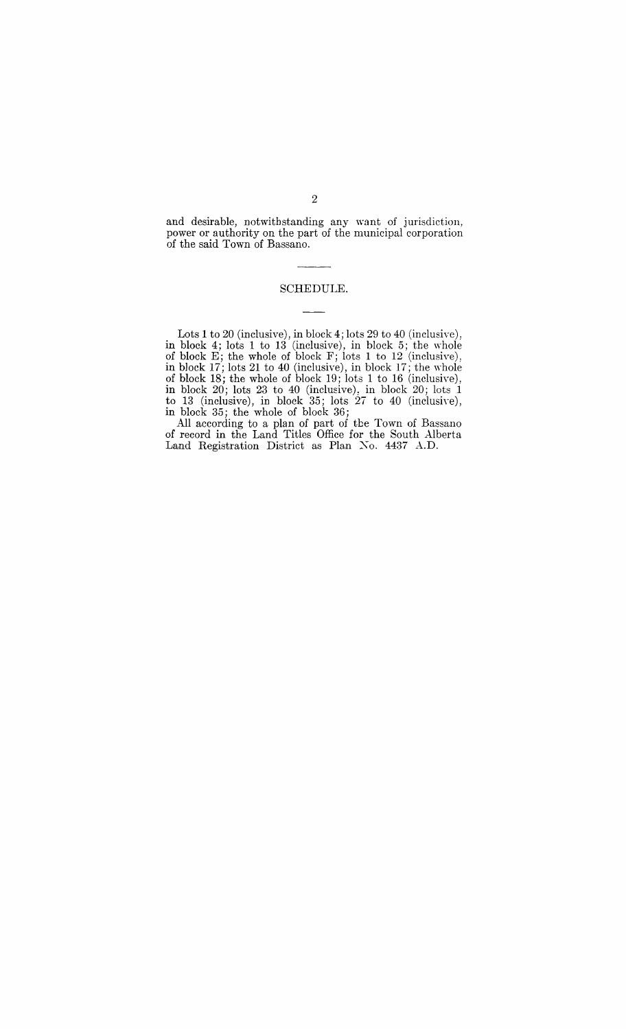and desirable, notwithstanding any want of jurisdiction, power or authority on the part of the municipal corporation of the said Town of Bassano.

### SCHEDULE.

Lots 1 to 20 (inclusive), in block 4; lots 29 to 40 (inclusive), in block 4; lots 1 to 13 (inclusive), in block 5; the 'whole of block  $E$ ; the whole of block  $F$ ; lots 1 to 12 (inclusive), in block 17; lots 21 to 40 (inclusive), in block 17; the whole of block 18; the whole of block 19; lots 1 to 16 (inclusive), in block  $20$ ; lots  $23$  to  $40$  (inclusive), in block  $20$ ; lots  $1$ to 13 (inclusive), in block  $35$ ; lots  $27$  to  $40$  (inclusive), in block 35; the whole of block 36;

All according to a plan of part of tbe Town of Bassano of record in the Land Titles Office for the South Alberta Land Registration District as Plan Xo. 4437 A.D.

2